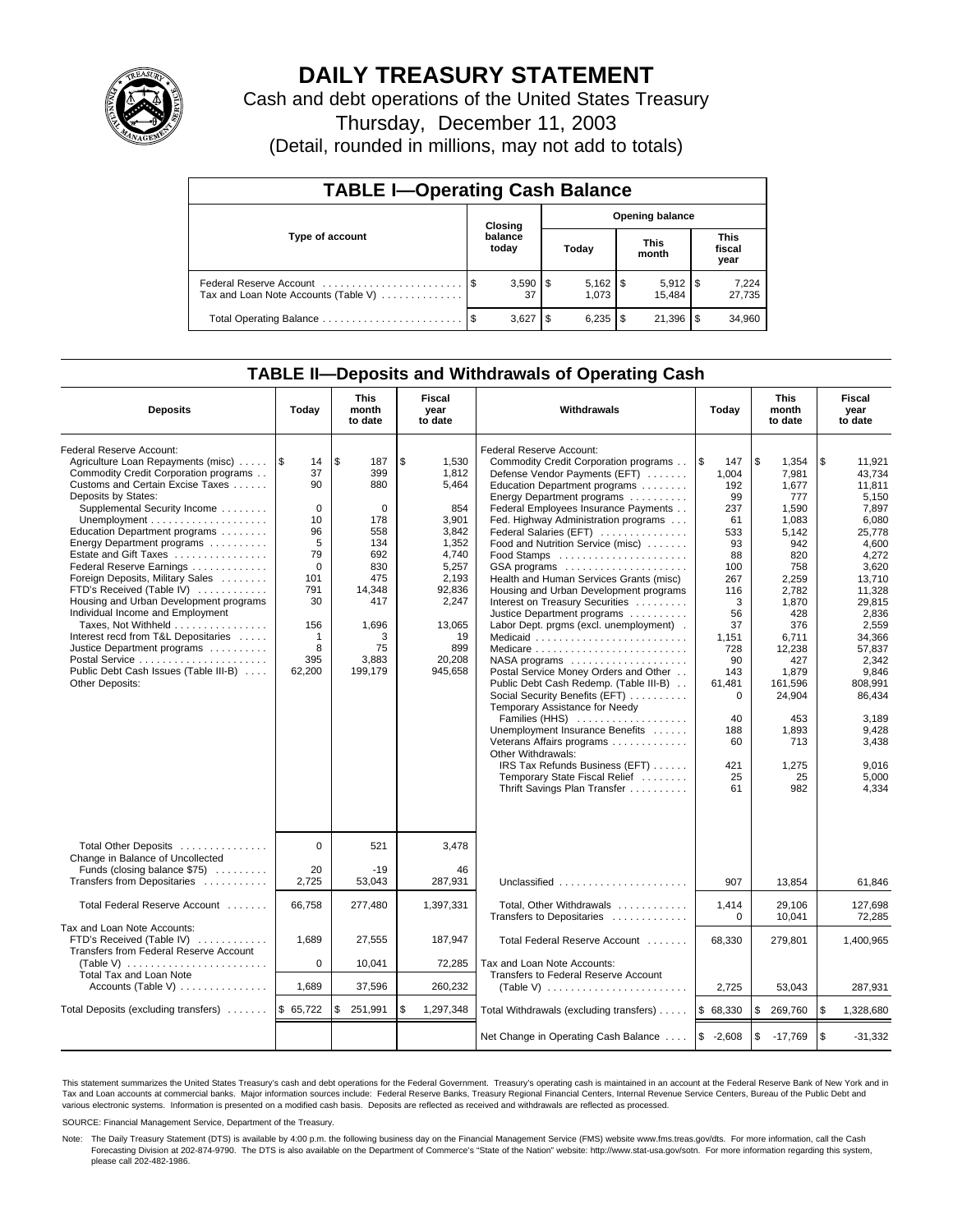

# **DAILY TREASURY STATEMENT**

Cash and debt operations of the United States Treasury

Thursday, December 11, 2003

(Detail, rounded in millions, may not add to totals)

| <b>TABLE I-Operating Cash Balance</b>                           |                             |              |                        |                       |  |                       |  |                               |  |
|-----------------------------------------------------------------|-----------------------------|--------------|------------------------|-----------------------|--|-----------------------|--|-------------------------------|--|
|                                                                 | Closing<br>balance<br>today |              | <b>Opening balance</b> |                       |  |                       |  |                               |  |
| Type of account                                                 |                             |              |                        | Today                 |  | <b>This</b><br>month  |  | <b>This</b><br>fiscal<br>year |  |
| Federal Reserve Account<br>Tax and Loan Note Accounts (Table V) |                             | 37           |                        | $5,162$   \$<br>1.073 |  | $5,912$ \\$<br>15.484 |  | 7,224<br>27,735               |  |
| Total Operating Balance                                         |                             | $3,627$   \$ |                        |                       |  | 21,396                |  | 34,960                        |  |

## **TABLE II—Deposits and Withdrawals of Operating Cash**

| <b>Deposits</b>                                                                                                                                                                                                                                                                                                                                                                                                                                                                                                                                                                                                                | Today                                                                                                                         | This<br>month<br>to date                                                                                                               | Fiscal<br>year<br>to date                                                                                                                                 | Withdrawals<br>Today                                                                                                                                                                                                                                                                                                                                                                                                                                                                                                                                                                                                                                                                                                                                                                                                                                                                                                                          |                                                                                                                                                                                                 | <b>This</b><br>month<br>to date                                                                                                                                                                                                    | Fiscal<br>year<br>to date                                                                                                                                                                                                                                         |
|--------------------------------------------------------------------------------------------------------------------------------------------------------------------------------------------------------------------------------------------------------------------------------------------------------------------------------------------------------------------------------------------------------------------------------------------------------------------------------------------------------------------------------------------------------------------------------------------------------------------------------|-------------------------------------------------------------------------------------------------------------------------------|----------------------------------------------------------------------------------------------------------------------------------------|-----------------------------------------------------------------------------------------------------------------------------------------------------------|-----------------------------------------------------------------------------------------------------------------------------------------------------------------------------------------------------------------------------------------------------------------------------------------------------------------------------------------------------------------------------------------------------------------------------------------------------------------------------------------------------------------------------------------------------------------------------------------------------------------------------------------------------------------------------------------------------------------------------------------------------------------------------------------------------------------------------------------------------------------------------------------------------------------------------------------------|-------------------------------------------------------------------------------------------------------------------------------------------------------------------------------------------------|------------------------------------------------------------------------------------------------------------------------------------------------------------------------------------------------------------------------------------|-------------------------------------------------------------------------------------------------------------------------------------------------------------------------------------------------------------------------------------------------------------------|
| Federal Reserve Account:<br>Agriculture Loan Repayments (misc)<br>Commodity Credit Corporation programs<br>Customs and Certain Excise Taxes<br>Deposits by States:<br>Supplemental Security Income<br>Education Department programs<br>Energy Department programs<br>Estate and Gift Taxes<br>Federal Reserve Earnings<br>Foreign Deposits, Military Sales<br>FTD's Received (Table IV)<br>Housing and Urban Development programs<br>Individual Income and Employment<br>Taxes, Not Withheld<br>Interest recd from T&L Depositaries<br>Justice Department programs<br>Public Debt Cash Issues (Table III-B)<br>Other Deposits: | 1\$<br>14<br>37<br>90<br>$\Omega$<br>10<br>96<br>5<br>79<br>$\mathbf 0$<br>101<br>791<br>30<br>156<br>1<br>8<br>395<br>62,200 | \$<br>187<br>399<br>880<br>$\Omega$<br>178<br>558<br>134<br>692<br>830<br>475<br>14,348<br>417<br>1,696<br>3<br>75<br>3,883<br>199,179 | \$<br>1,530<br>1,812<br>5,464<br>854<br>3,901<br>3,842<br>1,352<br>4,740<br>5,257<br>2.193<br>92.836<br>2,247<br>13,065<br>19<br>899<br>20,208<br>945,658 | Federal Reserve Account:<br>Commodity Credit Corporation programs<br>Defense Vendor Payments (EFT)<br>Education Department programs<br>Energy Department programs<br>Federal Employees Insurance Payments<br>Fed. Highway Administration programs<br>Federal Salaries (EFT)<br>Food and Nutrition Service (misc)<br>GSA programs<br>Health and Human Services Grants (misc)<br>Housing and Urban Development programs<br>Interest on Treasury Securities<br>Justice Department programs<br>Labor Dept. prgms (excl. unemployment).<br>Medicaid<br>Medicare<br>NASA programs<br>Postal Service Money Orders and Other<br>Public Debt Cash Redemp. (Table III-B)<br>Social Security Benefits (EFT)<br>Temporary Assistance for Needy<br>Families (HHS)<br>Unemployment Insurance Benefits<br>Veterans Affairs programs<br>Other Withdrawals:<br>IRS Tax Refunds Business (EFT)<br>Temporary State Fiscal Relief<br>Thrift Savings Plan Transfer | l\$<br>147<br>1,004<br>192<br>99<br>237<br>61<br>533<br>93<br>88<br>100<br>267<br>116<br>3<br>56<br>37<br>1,151<br>728<br>90<br>143<br>61,481<br>$\Omega$<br>40<br>188<br>60<br>421<br>25<br>61 | \$<br>1,354<br>7,981<br>1,677<br>777<br>1,590<br>1,083<br>5,142<br>942<br>820<br>758<br>2,259<br>2.782<br>1,870<br>428<br>376<br>6,711<br>12,238<br>427<br>1.879<br>161,596<br>24,904<br>453<br>1,893<br>713<br>1,275<br>25<br>982 | \$<br>11,921<br>43,734<br>11.811<br>5.150<br>7,897<br>6.080<br>25,778<br>4,600<br>4,272<br>3,620<br>13.710<br>11.328<br>29.815<br>2,836<br>2.559<br>34,366<br>57,837<br>2,342<br>9.846<br>808.991<br>86,434<br>3,189<br>9,428<br>3,438<br>9.016<br>5,000<br>4.334 |
| Total Other Deposits<br>Change in Balance of Uncollected<br>Funds (closing balance \$75)<br>Transfers from Depositaries                                                                                                                                                                                                                                                                                                                                                                                                                                                                                                        | $\Omega$<br>20<br>2,725                                                                                                       | 521<br>$-19$<br>53,043                                                                                                                 | 3,478<br>46<br>287,931                                                                                                                                    | Unclassified                                                                                                                                                                                                                                                                                                                                                                                                                                                                                                                                                                                                                                                                                                                                                                                                                                                                                                                                  | 907                                                                                                                                                                                             | 13,854                                                                                                                                                                                                                             | 61,846                                                                                                                                                                                                                                                            |
| Total Federal Reserve Account                                                                                                                                                                                                                                                                                                                                                                                                                                                                                                                                                                                                  | 66,758                                                                                                                        | 277,480                                                                                                                                | 1,397,331                                                                                                                                                 | Total, Other Withdrawals<br>Transfers to Depositaries                                                                                                                                                                                                                                                                                                                                                                                                                                                                                                                                                                                                                                                                                                                                                                                                                                                                                         | 1,414<br>0                                                                                                                                                                                      | 29,106<br>10,041                                                                                                                                                                                                                   | 127,698<br>72.285                                                                                                                                                                                                                                                 |
| Tax and Loan Note Accounts:<br>FTD's Received (Table IV)<br>Transfers from Federal Reserve Account<br>(Table V) $\ldots \ldots \ldots \ldots \ldots \ldots$<br>Total Tax and Loan Note                                                                                                                                                                                                                                                                                                                                                                                                                                         | 1,689<br>$\mathbf 0$                                                                                                          | 27,555<br>10,041                                                                                                                       | 187,947<br>72,285                                                                                                                                         | Total Federal Reserve Account<br>Tax and Loan Note Accounts:<br>Transfers to Federal Reserve Account                                                                                                                                                                                                                                                                                                                                                                                                                                                                                                                                                                                                                                                                                                                                                                                                                                          | 68.330                                                                                                                                                                                          | 279,801                                                                                                                                                                                                                            | 1,400,965                                                                                                                                                                                                                                                         |
| Accounts (Table V) $\dots \dots \dots \dots$                                                                                                                                                                                                                                                                                                                                                                                                                                                                                                                                                                                   | 1,689                                                                                                                         | 37,596                                                                                                                                 | 260,232                                                                                                                                                   | (Table V) $\ldots \ldots \ldots \ldots \ldots \ldots \ldots$                                                                                                                                                                                                                                                                                                                                                                                                                                                                                                                                                                                                                                                                                                                                                                                                                                                                                  | 2,725                                                                                                                                                                                           | 53,043                                                                                                                                                                                                                             | 287,931                                                                                                                                                                                                                                                           |
| Total Deposits (excluding transfers)                                                                                                                                                                                                                                                                                                                                                                                                                                                                                                                                                                                           | \$65,722                                                                                                                      | \$<br>251,991                                                                                                                          | \$<br>1,297,348                                                                                                                                           | Total Withdrawals (excluding transfers)                                                                                                                                                                                                                                                                                                                                                                                                                                                                                                                                                                                                                                                                                                                                                                                                                                                                                                       | \$68,330                                                                                                                                                                                        | \$<br>269,760                                                                                                                                                                                                                      | <b>S</b><br>1,328,680                                                                                                                                                                                                                                             |
|                                                                                                                                                                                                                                                                                                                                                                                                                                                                                                                                                                                                                                |                                                                                                                               |                                                                                                                                        |                                                                                                                                                           | Net Change in Operating Cash Balance                                                                                                                                                                                                                                                                                                                                                                                                                                                                                                                                                                                                                                                                                                                                                                                                                                                                                                          | $$ -2,608$                                                                                                                                                                                      | \$<br>$-17,769$                                                                                                                                                                                                                    | l \$<br>$-31,332$                                                                                                                                                                                                                                                 |

This statement summarizes the United States Treasury's cash and debt operations for the Federal Government. Treasury's operating cash is maintained in an account at the Federal Reserve Bank of New York and in Tax and Loan accounts at commercial banks. Major information sources include: Federal Reserve Banks, Treasury Regional Financial Centers, Internal Revenue Service Centers, Bureau of the Public Debt and<br>various electronic s

SOURCE: Financial Management Service, Department of the Treasury.

Note: The Daily Treasury Statement (DTS) is available by 4:00 p.m. the following business day on the Financial Management Service (FMS) website www.fms.treas.gov/dts. For more information, call the Cash Forecasting Division at 202-874-9790. The DTS is also available on the Department of Commerce's "State of the Nation" website: http://www.stat-usa.gov/sotn. For more information regarding this system, please call 202-482-1986.